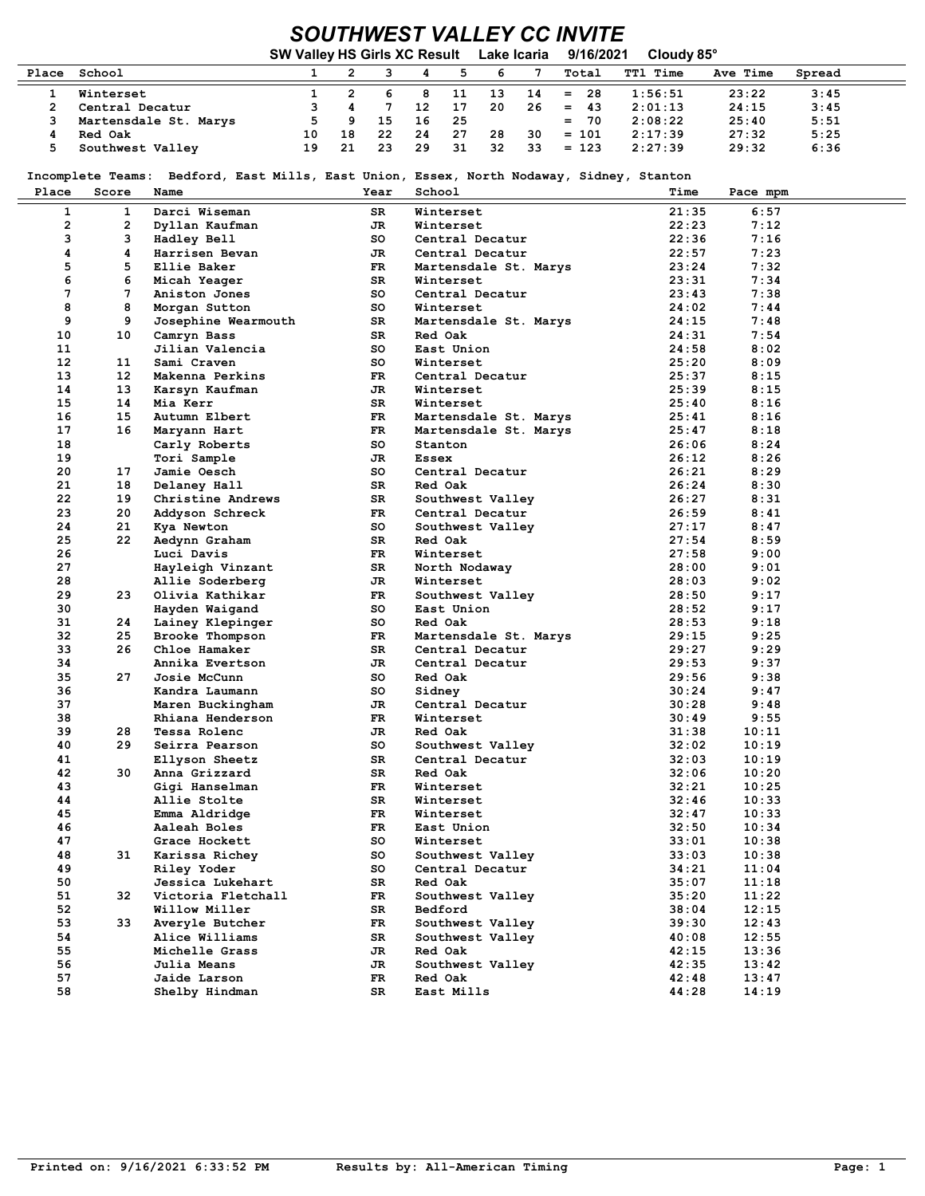## SOUTHWEST VALLEY CC INVITE

|       |                       | SW Valley HS Girls XC Result Lake Icaria |    |    |    |     |    |     | 9/16/2021 | Cloudy 85°      |          |        |
|-------|-----------------------|------------------------------------------|----|----|----|-----|----|-----|-----------|-----------------|----------|--------|
| Place | School                |                                          |    |    |    |     | 6  |     | Total     | <b>TTl Time</b> | Ave Time | Spread |
|       | Winterset             |                                          |    |    | 8  | 11  | 13 | 14  | $= 28$    | 1:56:51         | 23:22    | 3:45   |
|       | Central Decatur       |                                          |    |    | 12 | 17  | 20 | -26 | 43<br>$=$ | 2:01:13         | 24:15    | 3:45   |
|       | Martensdale St. Marys |                                          | 9. | 15 | 16 | -25 |    |     | $= 70$    | 2:08:22         | 25:40    | 5:51   |
|       | Red Oak               | 10                                       | 18 | 22 | 24 | 27  | 28 | 30  | $= 101$   | 2:17:39         | 27:32    | 5:25   |
|       | Southwest Valley      | 19                                       | 21 | 23 | 29 | 31  | 32 | 33  | $= 123$   | 2:27:39         | 29:32    | 6:36   |

Incomplete Teams: Bedford, East Mills, East Union, Essex, North Nodaway, Sidney, Stanton

| Place           | Score        | Name                          | Year     | School                              | Time           | Pace mpm     |
|-----------------|--------------|-------------------------------|----------|-------------------------------------|----------------|--------------|
| $\mathbf{1}$    | 1            | Darci Wiseman                 | SR       | Winterset                           | 21:35          | 6:57         |
| $\overline{a}$  | $\mathbf{2}$ | Dyllan Kaufman                | JR       | Winterset                           | 22:23          | 7:12         |
| 3               | 3            | Hadley Bell                   | so       | Central Decatur                     | 22:36          | 7:16         |
| 4               | 4            | Harrisen Bevan                | JR       | Central Decatur                     | 22:57          | 7:23         |
| 5               | 5            | Ellie Baker                   | FR       | Martensdale St. Marys               | 23:24          | 7:32         |
| 6               | 6            | Micah Yeager                  | SR       | Winterset                           | 23:31          | 7:34         |
| 7               | 7            | Aniston Jones                 | so       | Central Decatur                     | 23:43          | 7:38         |
| 8               | 8            | Morgan Sutton                 | so       | Winterset                           | 24:02          | 7:44         |
| 9               | 9            | Josephine Wearmouth           | SR       | Martensdale St. Marys               | 24:15          | 7:48         |
| 10              | 10           | Camryn Bass                   | SR       | Red Oak                             | 24:31          | 7:54         |
| 11              |              | Jilian Valencia               | so       | East Union                          | 24:58          | 8:02         |
| 12 <sup>2</sup> | 11           | Sami Craven                   | so       | Winterset                           | 25:20          | 8:09         |
| 13              | $12 \,$      | Makenna Perkins               | FR.      | Central Decatur                     | 25:37          | 8:15         |
| 14              | 13           | Karsyn Kaufman                | JR.      | Winterset                           | 25:39          | 8:15         |
| 15              | 14           | Mia Kerr                      | SR       | Winterset                           | 25:40          | 8:16         |
| 16              | 15           | Autumn Elbert                 | FR       | Martensdale St. Marys               | 25:41          | 8:16         |
| 17              | 16           | Maryann Hart                  | FR       | Martensdale St. Marys               | 25:47          | 8:18         |
| 18              |              | Carly Roberts                 | so       | Stanton                             | 26:06          | 8:24         |
| 19              |              | Tori Sample                   | JR.      | Essex                               | 26:12          | 8:26         |
| 20              | 17           | Jamie Oesch                   | so       | Central Decatur                     | 26:21          | 8:29         |
| 21<br>22        | 18<br>19     | Delaney Hall                  | SR       | Red Oak                             | 26:24<br>26:27 | 8:30         |
| 23              |              | Christine Andrews             | SR       | Southwest Valley                    |                | 8:31         |
| 24              | 20<br>21     | Addyson Schreck<br>Kya Newton | FR<br>so | Central Decatur<br>Southwest Valley | 26:59<br>27:17 | 8:41<br>8:47 |
| 25              | 22           | Aedynn Graham                 | SR.      | Red Oak                             | 27:54          | 8:59         |
| 26              |              | Luci Davis                    | FR       | Winterset                           | 27:58          | 9:00         |
| 27              |              | Hayleigh Vinzant              | SR       | North Nodaway                       | 28:00          | 9:01         |
| 28              |              | Allie Soderberg               | JR       | Winterset                           | 28:03          | 9:02         |
| 29              | 23           | Olivia Kathikar               | FR       | Southwest Valley                    | 28:50          | 9:17         |
| 30              |              | Hayden Waigand                | so       | East Union                          | 28:52          | 9:17         |
| 31              | 24           | Lainey Klepinger              | so       | Red Oak                             | 28:53          | 9:18         |
| 32              | 25           | Brooke Thompson               | FR       | Martensdale St. Marys               | 29:15          | 9:25         |
| 33              | 26           | Chloe Hamaker                 | SR       | Central Decatur                     | 29:27          | 9:29         |
| 34              |              | Annika Evertson               | JR       | Central Decatur                     | 29:53          | 9:37         |
| 35              | 27           | Josie McCunn                  | so       | Red Oak                             | 29:56          | 9:38         |
| 36              |              | Kandra Laumann                | so       | Sidney                              | 30:24          | 9:47         |
| 37              |              | Maren Buckingham              | JR.      | Central Decatur                     | 30:28          | 9:48         |
| 38              |              | Rhiana Henderson              | FR.      | Winterset                           | 30:49          | 9:55         |
| 39              | 28           | Tessa Rolenc                  | JR.      | Red Oak                             | 31:38          | 10:11        |
| 40              | 29           | Seirra Pearson                | so       | Southwest Valley                    | 32:02          | 10:19        |
| 41              |              | Ellyson Sheetz                | SR.      | Central Decatur                     | 32:03          | 10:19        |
| 42              | 30           | Anna Grizzard                 | SR       | Red Oak                             | 32:06          | 10:20        |
| 43              |              | Gigi Hanselman                | FR.      | Winterset                           | 32:21          | 10:25        |
| 44              |              | Allie Stolte                  | SR       | Winterset                           | 32:46          | 10:33        |
| 45              |              | Emma Aldridge                 | FR.      | Winterset                           | 32:47          | 10:33        |
| 46              |              | Aaleah Boles                  | FR.      | East Union                          | 32:50          | 10:34        |
| 47              |              | Grace Hockett                 | so       | Winterset                           | 33:01          | 10:38        |
| 48              | 31           | Karissa Richey                | so       | Southwest Valley                    | 33:03          | 10:38        |
| 49              |              | Riley Yoder                   | so       | Central Decatur                     | 34:21          | 11:04        |
| 50              |              | Jessica Lukehart              | SR       | Red Oak                             | 35:07          | 11:18        |
| 51              | 32           | Victoria Fletchall            | FR.      | Southwest Valley                    | 35:20          | 11:22        |
| 52              |              | Willow Miller                 | SR       | Bedford                             | 38:04          | 12:15        |
| 53              | 33           | Averyle Butcher               | FR       | Southwest Valley                    | 39:30          | 12:43        |
| 54              |              | Alice Williams                | SR       | Southwest Valley                    | 40:08          | 12:55        |
| 55              |              | Michelle Grass                | JR       | Red Oak                             | 42:15          | 13:36        |
| 56              |              | Julia Means                   | JR       | Southwest Valley                    | 42:35          | 13:42        |
| 57              |              | Jaide Larson                  | FR       | Red Oak                             | 42:48          | 13:47        |
| 58              |              | Shelby Hindman                | SR       | East Mills                          | 44:28          | 14:19        |